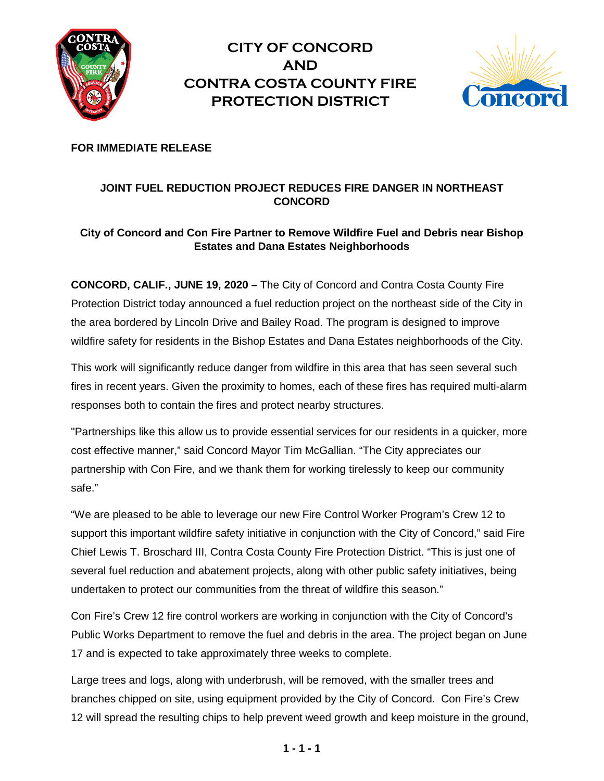

**CITY OF CONCORD AND CONTRA COSTA COUNTY FIRE PROTECTION DISTRICT**



**FOR IMMEDIATE RELEASE**

# **JOINT FUEL REDUCTION PROJECT REDUCES FIRE DANGER IN NORTHEAST CONCORD**

## **City of Concord and Con Fire Partner to Remove Wildfire Fuel and Debris near Bishop Estates and Dana Estates Neighborhoods**

**CONCORD, CALIF., JUNE 19, 2020 –** The City of Concord and Contra Costa County Fire Protection District today announced a fuel reduction project on the northeast side of the City in the area bordered by Lincoln Drive and Bailey Road. The program is designed to improve wildfire safety for residents in the Bishop Estates and Dana Estates neighborhoods of the City.

This work will significantly reduce danger from wildfire in this area that has seen several such fires in recent years. Given the proximity to homes, each of these fires has required multi-alarm responses both to contain the fires and protect nearby structures.

"Partnerships like this allow us to provide essential services for our residents in a quicker, more cost effective manner," said Concord Mayor Tim McGallian. "The City appreciates our partnership with Con Fire, and we thank them for working tirelessly to keep our community safe."

"We are pleased to be able to leverage our new Fire Control Worker Program's Crew 12 to support this important wildfire safety initiative in conjunction with the City of Concord," said Fire Chief Lewis T. Broschard III, Contra Costa County Fire Protection District. "This is just one of several fuel reduction and abatement projects, along with other public safety initiatives, being undertaken to protect our communities from the threat of wildfire this season."

Con Fire's Crew 12 fire control workers are working in conjunction with the City of Concord's Public Works Department to remove the fuel and debris in the area. The project began on June 17 and is expected to take approximately three weeks to complete.

Large trees and logs, along with underbrush, will be removed, with the smaller trees and branches chipped on site, using equipment provided by the City of Concord. Con Fire's Crew 12 will spread the resulting chips to help prevent weed growth and keep moisture in the ground,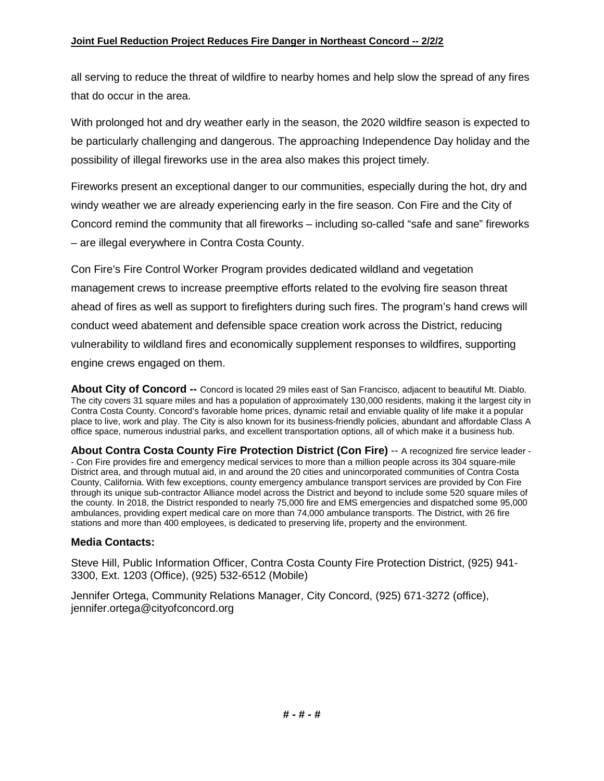all serving to reduce the threat of wildfire to nearby homes and help slow the spread of any fires that do occur in the area.

With prolonged hot and dry weather early in the season, the 2020 wildfire season is expected to be particularly challenging and dangerous. The approaching Independence Day holiday and the possibility of illegal fireworks use in the area also makes this project timely.

Fireworks present an exceptional danger to our communities, especially during the hot, dry and windy weather we are already experiencing early in the fire season. Con Fire and the City of Concord remind the community that all fireworks – including so-called "safe and sane" fireworks – are illegal everywhere in Contra Costa County.

Con Fire's Fire Control Worker Program provides dedicated wildland and vegetation management crews to increase preemptive efforts related to the evolving fire season threat ahead of fires as well as support to firefighters during such fires. The program's hand crews will conduct weed abatement and defensible space creation work across the District, reducing vulnerability to wildland fires and economically supplement responses to wildfires, supporting engine crews engaged on them.

**About City of Concord --** Concord is located 29 miles east of San Francisco, adjacent to beautiful Mt. Diablo. The city covers 31 square miles and has a population of approximately 130,000 residents, making it the largest city in Contra Costa County. Concord's favorable home prices, dynamic retail and enviable quality of life make it a popular place to live, work and play. The City is also known for its business-friendly policies, abundant and affordable Class A office space, numerous industrial parks, and excellent transportation options, all of which make it a business hub.

**About Contra Costa County Fire Protection District (Con Fire)** -- A recognized fire service leader - - Con Fire provides fire and emergency medical services to more than a million people across its 304 square-mile District area, and through mutual aid, in and around the 20 cities and unincorporated communities of Contra Costa County, California. With few exceptions, county emergency ambulance transport services are provided by Con Fire through its unique sub-contractor Alliance model across the District and beyond to include some 520 square miles of the county. In 2018, the District responded to nearly 75,000 fire and EMS emergencies and dispatched some 95,000 ambulances, providing expert medical care on more than 74,000 ambulance transports. The District, with 26 fire stations and more than 400 employees, is dedicated to preserving life, property and the environment.

#### **Media Contacts:**

Steve Hill, Public Information Officer, Contra Costa County Fire Protection District, (925) 941- 3300, Ext. 1203 (Office), (925) 532-6512 (Mobile)

Jennifer Ortega, Community Relations Manager, City Concord, (925) 671-3272 (office), jennifer.ortega@cityofconcord.org